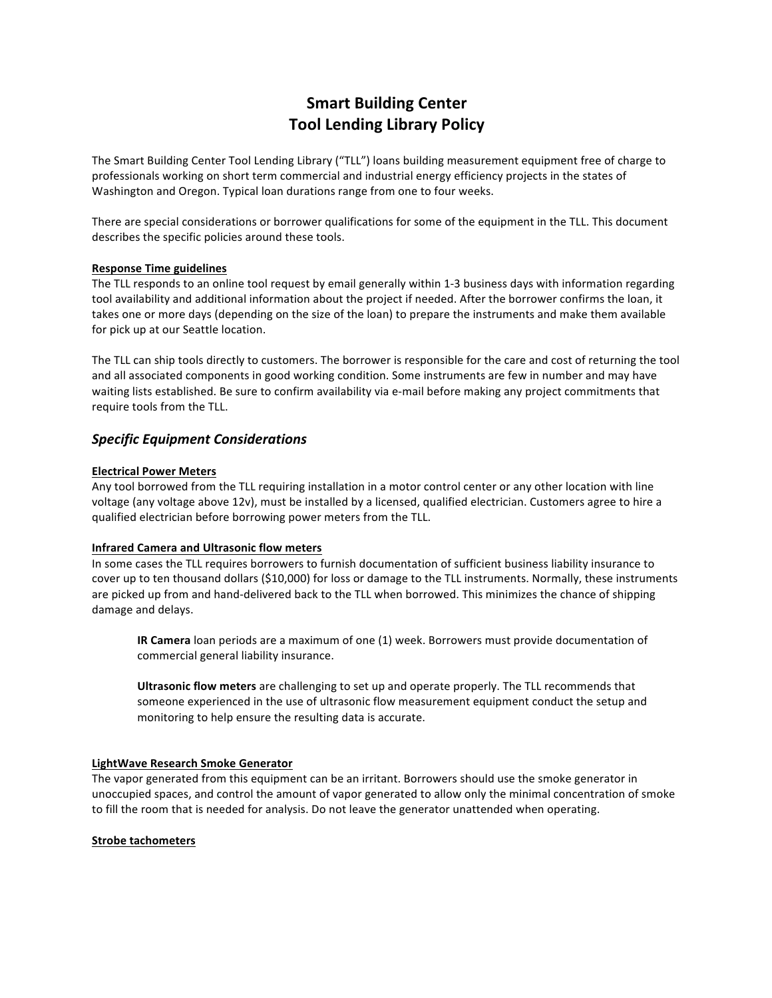# **Smart Building Center Tool Lending Library Policy**

The Smart Building Center Tool Lending Library ("TLL") loans building measurement equipment free of charge to professionals working on short term commercial and industrial energy efficiency projects in the states of Washington and Oregon. Typical loan durations range from one to four weeks.

There are special considerations or borrower qualifications for some of the equipment in the TLL. This document describes the specific policies around these tools.

## **Response Time guidelines**

The TLL responds to an online tool request by email generally within 1-3 business days with information regarding tool availability and additional information about the project if needed. After the borrower confirms the loan, it takes one or more days (depending on the size of the loan) to prepare the instruments and make them available for pick up at our Seattle location.

The TLL can ship tools directly to customers. The borrower is responsible for the care and cost of returning the tool and all associated components in good working condition. Some instruments are few in number and may have waiting lists established. Be sure to confirm availability via e-mail before making any project commitments that require tools from the TLL.

# **Specific Equipment Considerations**

## **Electrical Power Meters**

Any tool borrowed from the TLL requiring installation in a motor control center or any other location with line voltage (any voltage above 12v), must be installed by a licensed, qualified electrician. Customers agree to hire a qualified electrician before borrowing power meters from the TLL.

#### **Infrared Camera and Ultrasonic flow meters**

In some cases the TLL requires borrowers to furnish documentation of sufficient business liability insurance to cover up to ten thousand dollars (\$10,000) for loss or damage to the TLL instruments. Normally, these instruments are picked up from and hand-delivered back to the TLL when borrowed. This minimizes the chance of shipping damage and delays.

**IR Camera** loan periods are a maximum of one (1) week. Borrowers must provide documentation of commercial general liability insurance.

**Ultrasonic flow meters** are challenging to set up and operate properly. The TLL recommends that someone experienced in the use of ultrasonic flow measurement equipment conduct the setup and monitoring to help ensure the resulting data is accurate.

#### **LightWave Research Smoke Generator**

The vapor generated from this equipment can be an irritant. Borrowers should use the smoke generator in unoccupied spaces, and control the amount of vapor generated to allow only the minimal concentration of smoke to fill the room that is needed for analysis. Do not leave the generator unattended when operating.

# **Strobe tachometers**